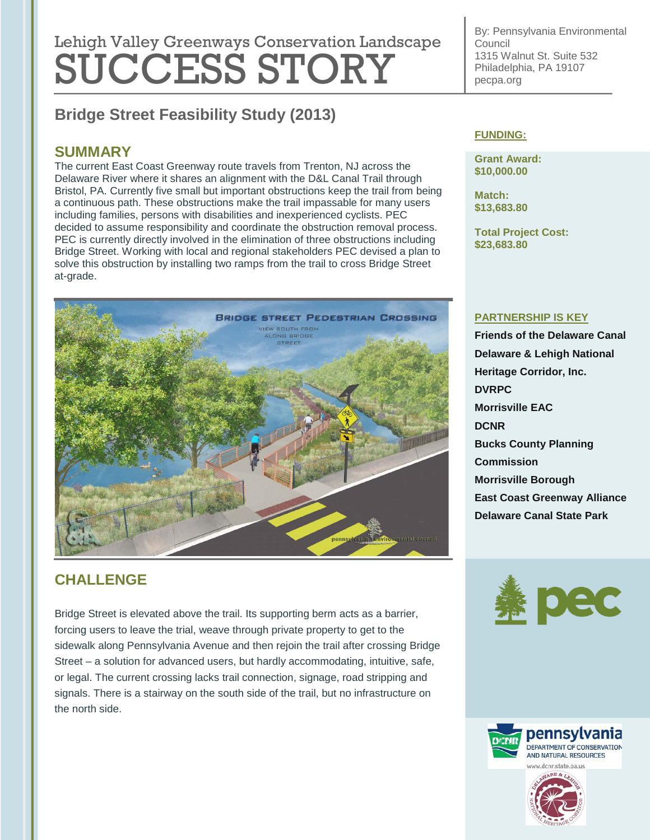# Lehigh Valley Greenways Conservation Landscape SUCCESS STORY

By: Pennsylvania Environmental Council 1315 Walnut St. Suite 532 Philadelphia, PA 19107 pecpa.org

# **Bridge Street Feasibility Study (2013)**

## **SUMMARY**

The current East Coast Greenway route travels from Trenton, NJ across the Delaware River where it shares an alignment with the D&L Canal Trail through Bristol, PA. Currently five small but important obstructions keep the trail from being a continuous path. These obstructions make the trail impassable for many users including families, persons with disabilities and inexperienced cyclists. PEC decided to assume responsibility and coordinate the obstruction removal process. PEC is currently directly involved in the elimination of three obstructions including Bridge Street. Working with local and regional stakeholders PEC devised a plan to solve this obstruction by installing two ramps from the trail to cross Bridge Street at-grade.



# **CHALLENGE**

Bridge Street is elevated above the trail. Its supporting berm acts as a barrier, forcing users to leave the trial, weave through private property to get to the sidewalk along Pennsylvania Avenue and then rejoin the trail after crossing Bridge Street – a solution for advanced users, but hardly accommodating, intuitive, safe, or legal. The current crossing lacks trail connection, signage, road stripping and signals. There is a stairway on the south side of the trail, but no infrastructure on the north side.

#### **FUNDING:**

**Grant Award: \$10,000.00**

**Match: \$13,683.80**

**Total Project Cost: \$23,683.80**

#### **PARTNERSHIP IS KEY**

**Friends of the Delaware Canal Delaware & Lehigh National Heritage Corridor, Inc. DVRPC Morrisville EAC DCNR Bucks County Planning Commission Morrisville Borough East Coast Greenway Alliance Delaware Canal State Park**